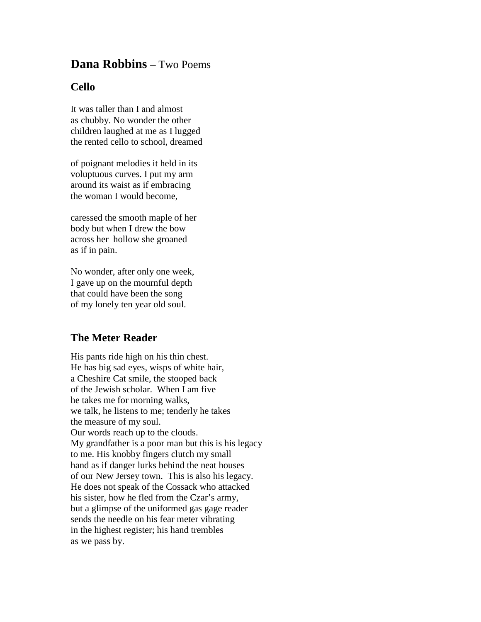## **Dana Robbins** – Two Poems

## **Cello**

It was taller than I and almost as chubby. No wonder the other children laughed at me as I lugged the rented cello to school, dreamed

of poignant melodies it held in its voluptuous curves. I put my arm around its waist as if embracing the woman I would become,

caressed the smooth maple of her body but when I drew the bow across her hollow she groaned as if in pain.

No wonder, after only one week, I gave up on the mournful depth that could have been the song of my lonely ten year old soul.

## **The Meter Reader**

His pants ride high on his thin chest. He has big sad eyes, wisps of white hair, a Cheshire Cat smile, the stooped back of the Jewish scholar. When I am five he takes me for morning walks, we talk, he listens to me; tenderly he takes the measure of my soul. Our words reach up to the clouds. My grandfather is a poor man but this is his legacy to me. His knobby fingers clutch my small hand as if danger lurks behind the neat houses of our New Jersey town. This is also his legacy. He does not speak of the Cossack who attacked his sister, how he fled from the Czar's army, but a glimpse of the uniformed gas gage reader sends the needle on his fear meter vibrating in the highest register; his hand trembles as we pass by.